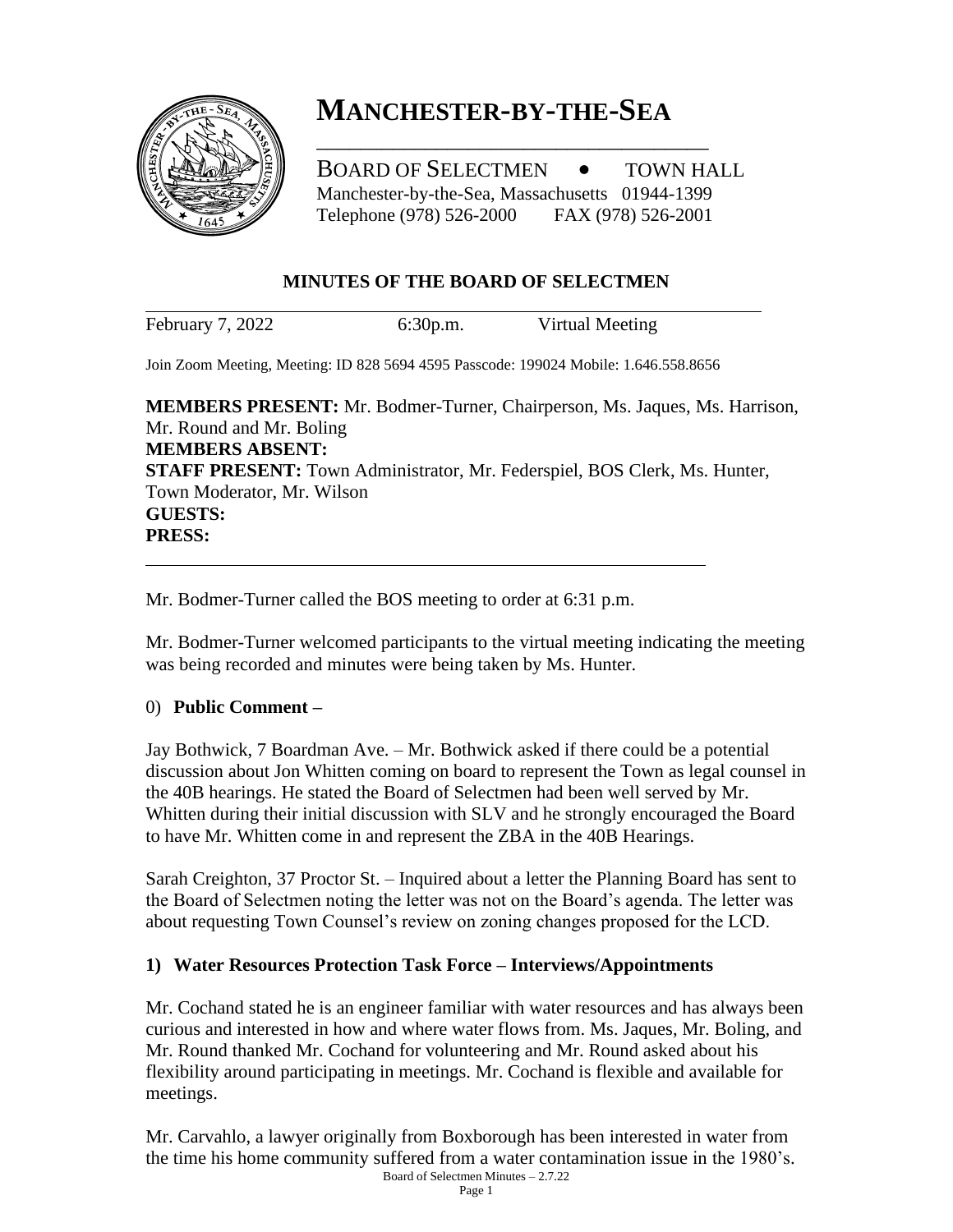

# **MANCHESTER-BY-THE-SEA**

\_\_\_\_\_\_\_\_\_\_\_\_\_\_\_\_\_\_\_\_\_\_\_\_\_\_\_\_\_\_\_\_\_\_\_\_

BOARD OF SELECTMEN  $\bullet$  TOWN HALL Manchester-by-the-Sea, Massachusetts 01944-1399 Telephone (978) 526-2000 FAX (978) 526-2001

## **MINUTES OF THE BOARD OF SELECTMEN**

February 7, 2022 6:30p.m. Virtual Meeting

Join Zoom Meeting, Meeting: ID 828 5694 4595 Passcode: 199024 Mobile: 1.646.558.8656

**MEMBERS PRESENT:** Mr. Bodmer-Turner, Chairperson, Ms. Jaques, Ms. Harrison, Mr. Round and Mr. Boling **MEMBERS ABSENT: STAFF PRESENT:** Town Administrator, Mr. Federspiel, BOS Clerk, Ms. Hunter, Town Moderator, Mr. Wilson **GUESTS: PRESS:**

Mr. Bodmer-Turner called the BOS meeting to order at 6:31 p.m.

Mr. Bodmer-Turner welcomed participants to the virtual meeting indicating the meeting was being recorded and minutes were being taken by Ms. Hunter.

## 0) **Public Comment –**

Jay Bothwick, 7 Boardman Ave. – Mr. Bothwick asked if there could be a potential discussion about Jon Whitten coming on board to represent the Town as legal counsel in the 40B hearings. He stated the Board of Selectmen had been well served by Mr. Whitten during their initial discussion with SLV and he strongly encouraged the Board to have Mr. Whitten come in and represent the ZBA in the 40B Hearings.

Sarah Creighton, 37 Proctor St. – Inquired about a letter the Planning Board has sent to the Board of Selectmen noting the letter was not on the Board's agenda. The letter was about requesting Town Counsel's review on zoning changes proposed for the LCD.

## **1) Water Resources Protection Task Force – Interviews/Appointments**

Mr. Cochand stated he is an engineer familiar with water resources and has always been curious and interested in how and where water flows from. Ms. Jaques, Mr. Boling, and Mr. Round thanked Mr. Cochand for volunteering and Mr. Round asked about his flexibility around participating in meetings. Mr. Cochand is flexible and available for meetings.

Board of Selectmen Minutes – 2.7.22 Mr. Carvahlo, a lawyer originally from Boxborough has been interested in water from the time his home community suffered from a water contamination issue in the 1980's.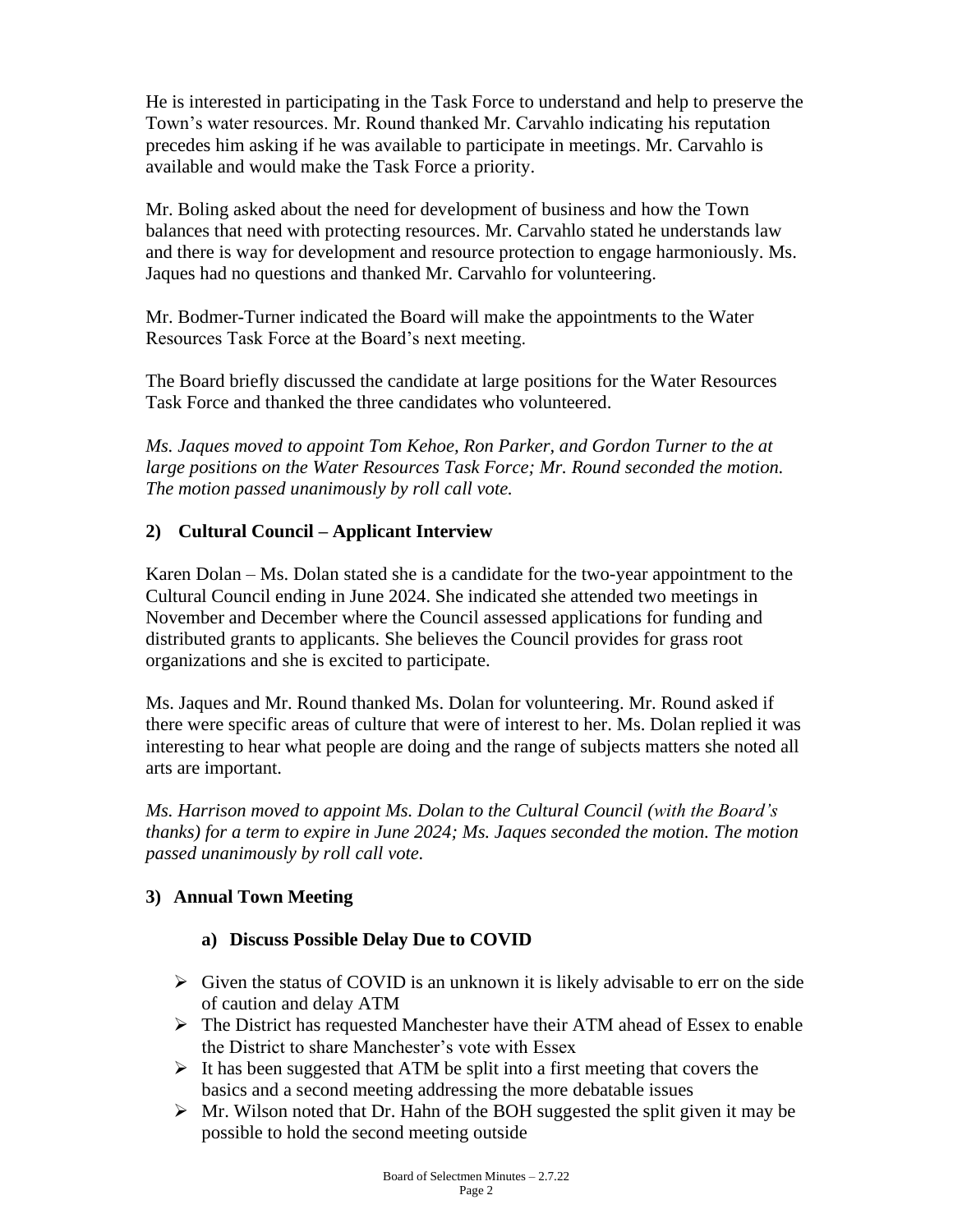He is interested in participating in the Task Force to understand and help to preserve the Town's water resources. Mr. Round thanked Mr. Carvahlo indicating his reputation precedes him asking if he was available to participate in meetings. Mr. Carvahlo is available and would make the Task Force a priority.

Mr. Boling asked about the need for development of business and how the Town balances that need with protecting resources. Mr. Carvahlo stated he understands law and there is way for development and resource protection to engage harmoniously. Ms. Jaques had no questions and thanked Mr. Carvahlo for volunteering.

Mr. Bodmer-Turner indicated the Board will make the appointments to the Water Resources Task Force at the Board's next meeting.

The Board briefly discussed the candidate at large positions for the Water Resources Task Force and thanked the three candidates who volunteered.

*Ms. Jaques moved to appoint Tom Kehoe, Ron Parker, and Gordon Turner to the at large positions on the Water Resources Task Force; Mr. Round seconded the motion. The motion passed unanimously by roll call vote.*

## **2) Cultural Council – Applicant Interview**

Karen Dolan – Ms. Dolan stated she is a candidate for the two-year appointment to the Cultural Council ending in June 2024. She indicated she attended two meetings in November and December where the Council assessed applications for funding and distributed grants to applicants. She believes the Council provides for grass root organizations and she is excited to participate.

Ms. Jaques and Mr. Round thanked Ms. Dolan for volunteering. Mr. Round asked if there were specific areas of culture that were of interest to her. Ms. Dolan replied it was interesting to hear what people are doing and the range of subjects matters she noted all arts are important.

*Ms. Harrison moved to appoint Ms. Dolan to the Cultural Council (with the Board's thanks) for a term to expire in June 2024; Ms. Jaques seconded the motion. The motion passed unanimously by roll call vote.*

## **3) Annual Town Meeting**

## **a) Discuss Possible Delay Due to COVID**

- $\triangleright$  Given the status of COVID is an unknown it is likely advisable to err on the side of caution and delay ATM
- ➢ The District has requested Manchester have their ATM ahead of Essex to enable the District to share Manchester's vote with Essex
- $\triangleright$  It has been suggested that ATM be split into a first meeting that covers the basics and a second meeting addressing the more debatable issues
- $\triangleright$  Mr. Wilson noted that Dr. Hahn of the BOH suggested the split given it may be possible to hold the second meeting outside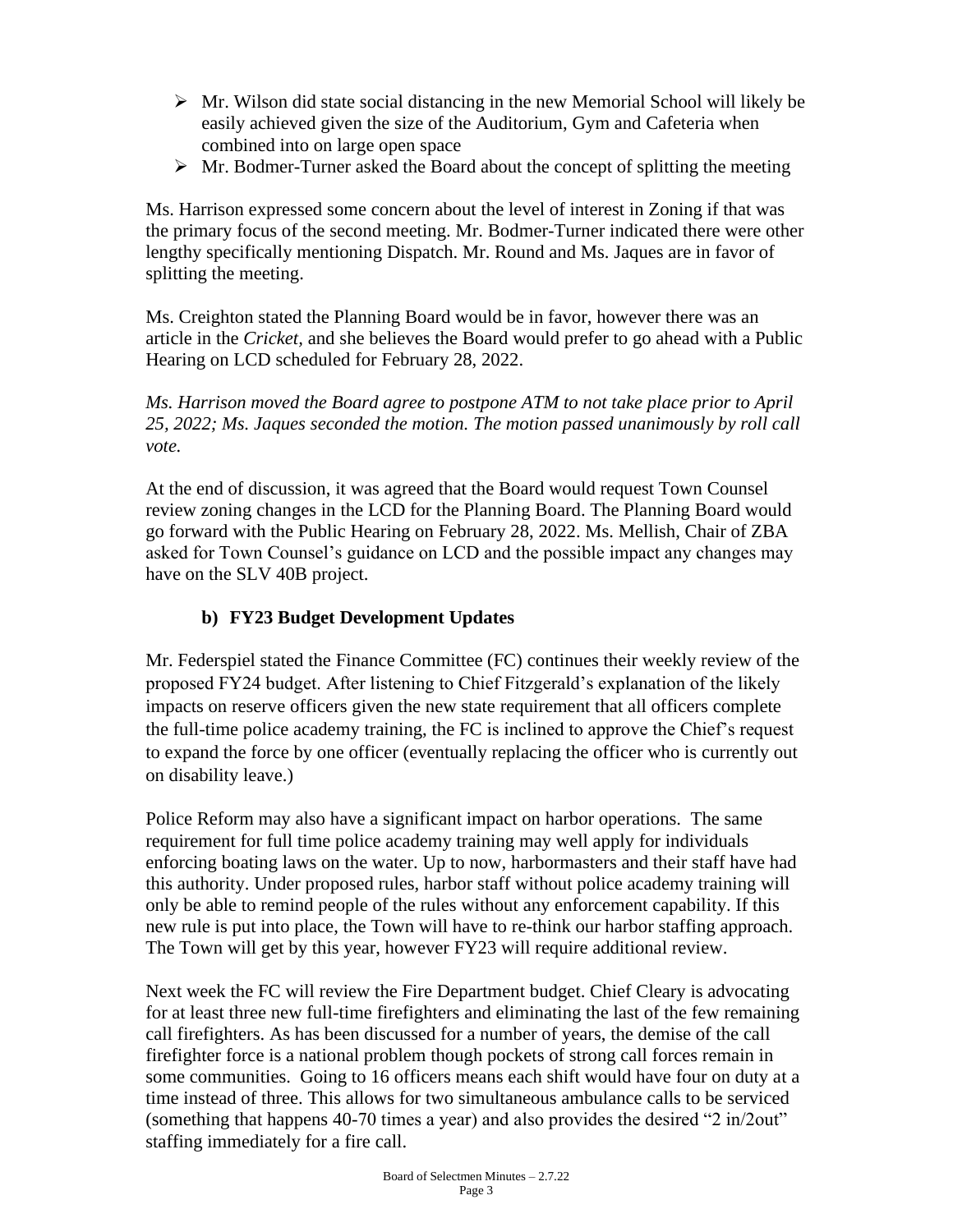- $\triangleright$  Mr. Wilson did state social distancing in the new Memorial School will likely be easily achieved given the size of the Auditorium, Gym and Cafeteria when combined into on large open space
- $\triangleright$  Mr. Bodmer-Turner asked the Board about the concept of splitting the meeting

Ms. Harrison expressed some concern about the level of interest in Zoning if that was the primary focus of the second meeting. Mr. Bodmer-Turner indicated there were other lengthy specifically mentioning Dispatch. Mr. Round and Ms. Jaques are in favor of splitting the meeting.

Ms. Creighton stated the Planning Board would be in favor, however there was an article in the *Cricket,* and she believes the Board would prefer to go ahead with a Public Hearing on LCD scheduled for February 28, 2022.

*Ms. Harrison moved the Board agree to postpone ATM to not take place prior to April 25, 2022; Ms. Jaques seconded the motion. The motion passed unanimously by roll call vote.*

At the end of discussion, it was agreed that the Board would request Town Counsel review zoning changes in the LCD for the Planning Board. The Planning Board would go forward with the Public Hearing on February 28, 2022. Ms. Mellish, Chair of ZBA asked for Town Counsel's guidance on LCD and the possible impact any changes may have on the SLV 40B project.

## **b) FY23 Budget Development Updates**

Mr. Federspiel stated the Finance Committee (FC) continues their weekly review of the proposed FY24 budget. After listening to Chief Fitzgerald's explanation of the likely impacts on reserve officers given the new state requirement that all officers complete the full-time police academy training, the FC is inclined to approve the Chief's request to expand the force by one officer (eventually replacing the officer who is currently out on disability leave.)

Police Reform may also have a significant impact on harbor operations. The same requirement for full time police academy training may well apply for individuals enforcing boating laws on the water. Up to now, harbormasters and their staff have had this authority. Under proposed rules, harbor staff without police academy training will only be able to remind people of the rules without any enforcement capability. If this new rule is put into place, the Town will have to re-think our harbor staffing approach. The Town will get by this year, however FY23 will require additional review.

Next week the FC will review the Fire Department budget. Chief Cleary is advocating for at least three new full-time firefighters and eliminating the last of the few remaining call firefighters. As has been discussed for a number of years, the demise of the call firefighter force is a national problem though pockets of strong call forces remain in some communities. Going to 16 officers means each shift would have four on duty at a time instead of three. This allows for two simultaneous ambulance calls to be serviced (something that happens 40-70 times a year) and also provides the desired "2 in/2out" staffing immediately for a fire call.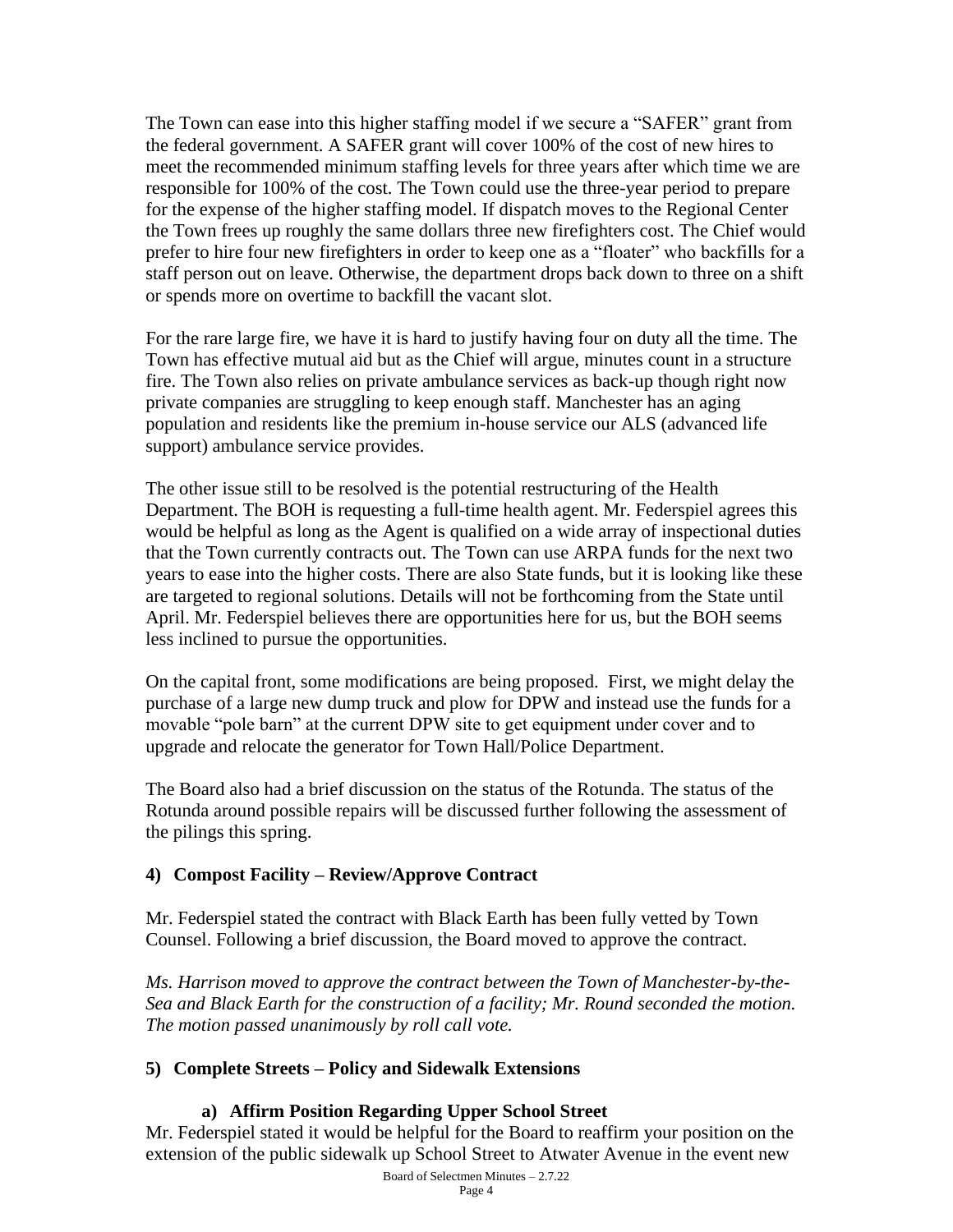The Town can ease into this higher staffing model if we secure a "SAFER" grant from the federal government. A SAFER grant will cover 100% of the cost of new hires to meet the recommended minimum staffing levels for three years after which time we are responsible for 100% of the cost. The Town could use the three-year period to prepare for the expense of the higher staffing model. If dispatch moves to the Regional Center the Town frees up roughly the same dollars three new firefighters cost. The Chief would prefer to hire four new firefighters in order to keep one as a "floater" who backfills for a staff person out on leave. Otherwise, the department drops back down to three on a shift or spends more on overtime to backfill the vacant slot.

For the rare large fire, we have it is hard to justify having four on duty all the time. The Town has effective mutual aid but as the Chief will argue, minutes count in a structure fire. The Town also relies on private ambulance services as back-up though right now private companies are struggling to keep enough staff. Manchester has an aging population and residents like the premium in-house service our ALS (advanced life support) ambulance service provides.

The other issue still to be resolved is the potential restructuring of the Health Department. The BOH is requesting a full-time health agent. Mr. Federspiel agrees this would be helpful as long as the Agent is qualified on a wide array of inspectional duties that the Town currently contracts out. The Town can use ARPA funds for the next two years to ease into the higher costs. There are also State funds, but it is looking like these are targeted to regional solutions. Details will not be forthcoming from the State until April. Mr. Federspiel believes there are opportunities here for us, but the BOH seems less inclined to pursue the opportunities.

On the capital front, some modifications are being proposed. First, we might delay the purchase of a large new dump truck and plow for DPW and instead use the funds for a movable "pole barn" at the current DPW site to get equipment under cover and to upgrade and relocate the generator for Town Hall/Police Department.

The Board also had a brief discussion on the status of the Rotunda. The status of the Rotunda around possible repairs will be discussed further following the assessment of the pilings this spring.

## **4) Compost Facility – Review/Approve Contract**

Mr. Federspiel stated the contract with Black Earth has been fully vetted by Town Counsel. Following a brief discussion, the Board moved to approve the contract.

*Ms. Harrison moved to approve the contract between the Town of Manchester-by-the-Sea and Black Earth for the construction of a facility; Mr. Round seconded the motion. The motion passed unanimously by roll call vote.*

#### **5) Complete Streets – Policy and Sidewalk Extensions**

## **a) Affirm Position Regarding Upper School Street**

Board of Selectmen Minutes – 2.7.22 Mr. Federspiel stated it would be helpful for the Board to reaffirm your position on the extension of the public sidewalk up School Street to Atwater Avenue in the event new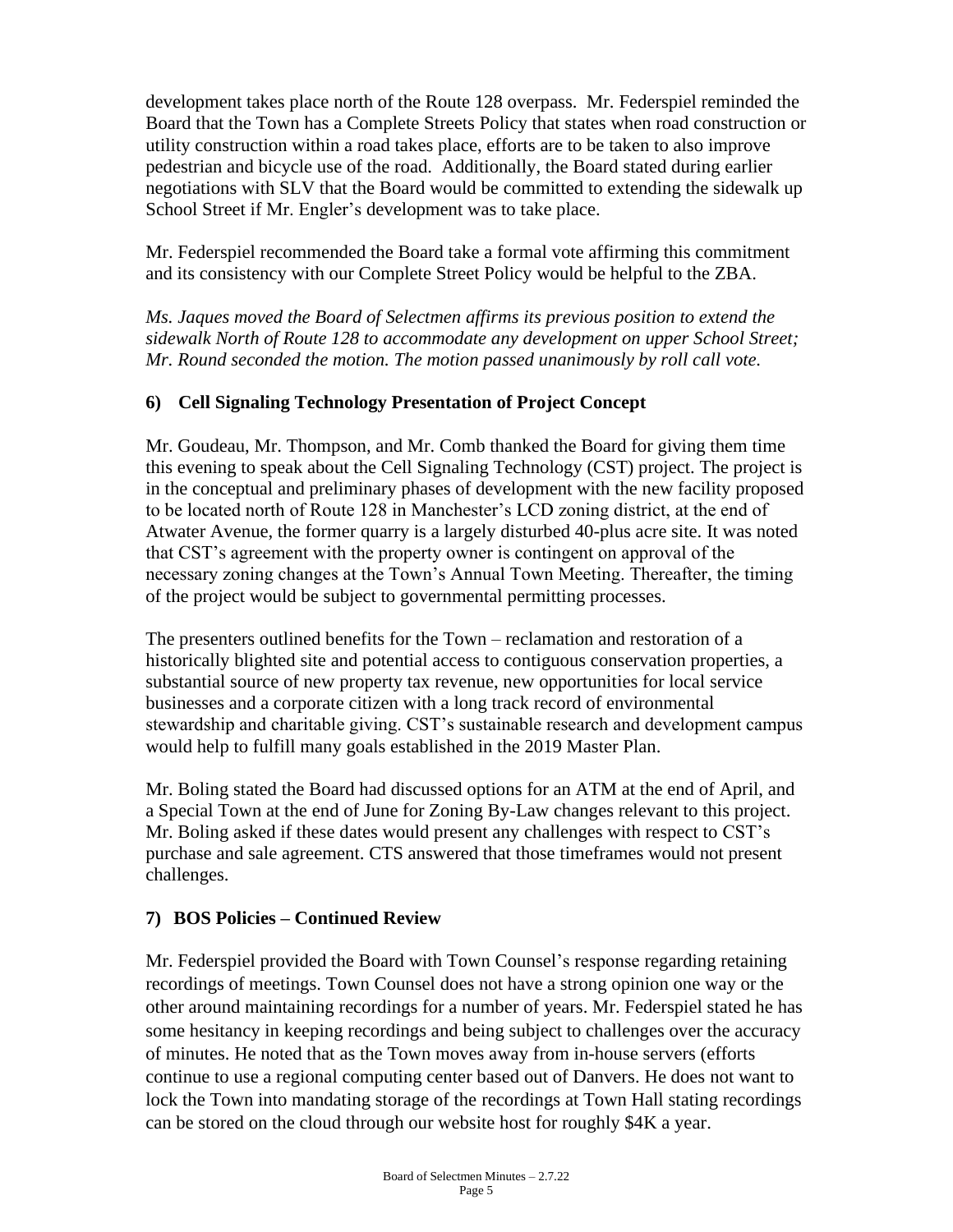development takes place north of the Route 128 overpass. Mr. Federspiel reminded the Board that the Town has a Complete Streets Policy that states when road construction or utility construction within a road takes place, efforts are to be taken to also improve pedestrian and bicycle use of the road. Additionally, the Board stated during earlier negotiations with SLV that the Board would be committed to extending the sidewalk up School Street if Mr. Engler's development was to take place.

Mr. Federspiel recommended the Board take a formal vote affirming this commitment and its consistency with our Complete Street Policy would be helpful to the ZBA.

*Ms. Jaques moved the Board of Selectmen affirms its previous position to extend the sidewalk North of Route 128 to accommodate any development on upper School Street; Mr. Round seconded the motion. The motion passed unanimously by roll call vote.*

# **6) Cell Signaling Technology Presentation of Project Concept**

Mr. Goudeau, Mr. Thompson, and Mr. Comb thanked the Board for giving them time this evening to speak about the Cell Signaling Technology (CST) project. The project is in the conceptual and preliminary phases of development with the new facility proposed to be located north of Route 128 in Manchester's LCD zoning district, at the end of Atwater Avenue, the former quarry is a largely disturbed 40-plus acre site. It was noted that CST's agreement with the property owner is contingent on approval of the necessary zoning changes at the Town's Annual Town Meeting. Thereafter, the timing of the project would be subject to governmental permitting processes.

The presenters outlined benefits for the Town – reclamation and restoration of a historically blighted site and potential access to contiguous conservation properties, a substantial source of new property tax revenue, new opportunities for local service businesses and a corporate citizen with a long track record of environmental stewardship and charitable giving. CST's sustainable research and development campus would help to fulfill many goals established in the 2019 Master Plan.

Mr. Boling stated the Board had discussed options for an ATM at the end of April, and a Special Town at the end of June for Zoning By-Law changes relevant to this project. Mr. Boling asked if these dates would present any challenges with respect to CST's purchase and sale agreement. CTS answered that those timeframes would not present challenges.

## **7) BOS Policies – Continued Review**

Mr. Federspiel provided the Board with Town Counsel's response regarding retaining recordings of meetings. Town Counsel does not have a strong opinion one way or the other around maintaining recordings for a number of years. Mr. Federspiel stated he has some hesitancy in keeping recordings and being subject to challenges over the accuracy of minutes. He noted that as the Town moves away from in-house servers (efforts continue to use a regional computing center based out of Danvers. He does not want to lock the Town into mandating storage of the recordings at Town Hall stating recordings can be stored on the cloud through our website host for roughly \$4K a year.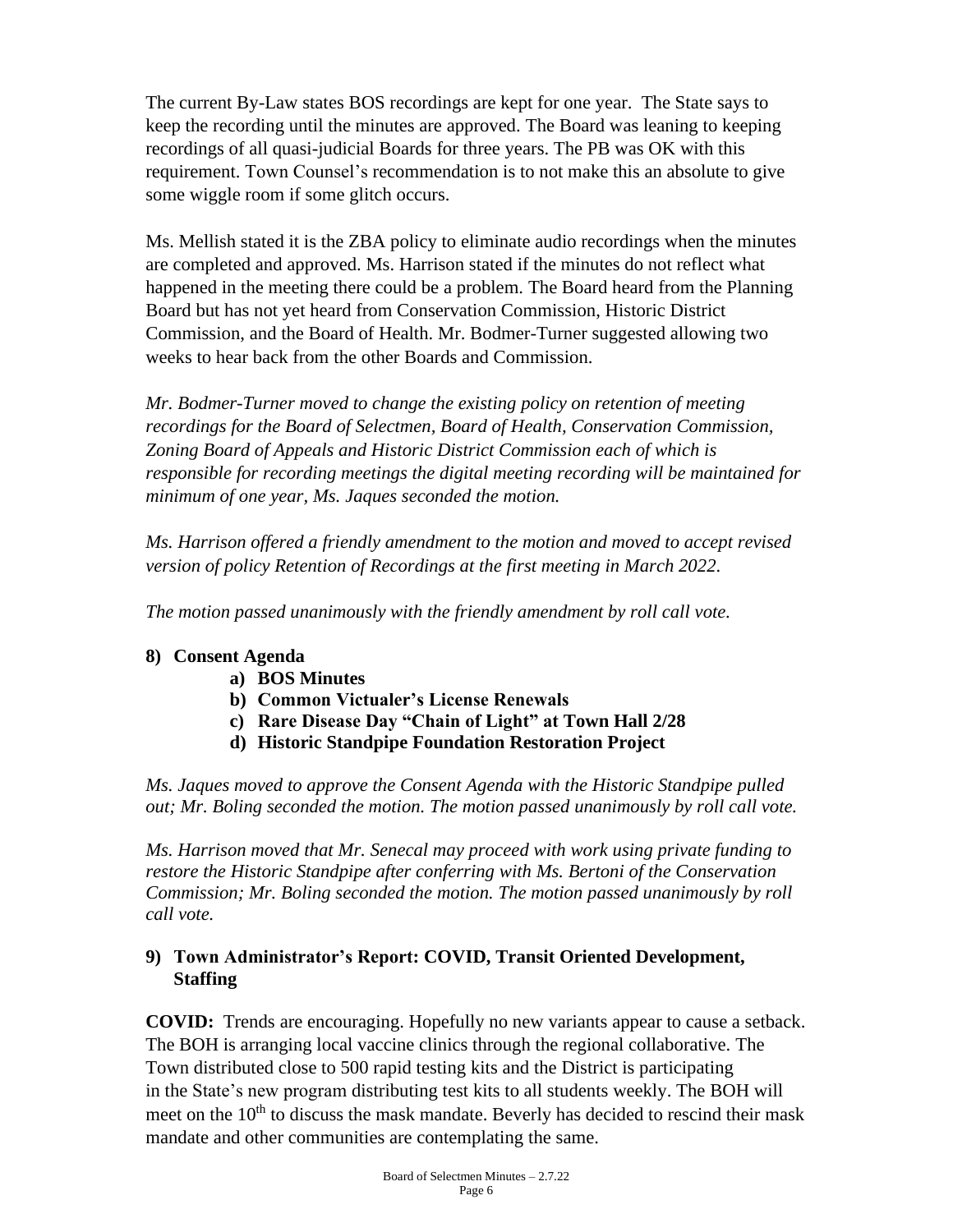The current By-Law states BOS recordings are kept for one year. The State says to keep the recording until the minutes are approved. The Board was leaning to keeping recordings of all quasi-judicial Boards for three years. The PB was OK with this requirement. Town Counsel's recommendation is to not make this an absolute to give some wiggle room if some glitch occurs.

Ms. Mellish stated it is the ZBA policy to eliminate audio recordings when the minutes are completed and approved. Ms. Harrison stated if the minutes do not reflect what happened in the meeting there could be a problem. The Board heard from the Planning Board but has not yet heard from Conservation Commission, Historic District Commission, and the Board of Health. Mr. Bodmer-Turner suggested allowing two weeks to hear back from the other Boards and Commission.

*Mr. Bodmer-Turner moved to change the existing policy on retention of meeting recordings for the Board of Selectmen, Board of Health, Conservation Commission, Zoning Board of Appeals and Historic District Commission each of which is responsible for recording meetings the digital meeting recording will be maintained for minimum of one year, Ms. Jaques seconded the motion.* 

*Ms. Harrison offered a friendly amendment to the motion and moved to accept revised version of policy Retention of Recordings at the first meeting in March 2022.*

*The motion passed unanimously with the friendly amendment by roll call vote.* 

# **8) Consent Agenda**

- **a) BOS Minutes**
- **b) Common Victualer's License Renewals**
- **c) Rare Disease Day "Chain of Light" at Town Hall 2/28**
- **d) Historic Standpipe Foundation Restoration Project**

*Ms. Jaques moved to approve the Consent Agenda with the Historic Standpipe pulled out; Mr. Boling seconded the motion. The motion passed unanimously by roll call vote.*

*Ms. Harrison moved that Mr. Senecal may proceed with work using private funding to restore the Historic Standpipe after conferring with Ms. Bertoni of the Conservation Commission; Mr. Boling seconded the motion. The motion passed unanimously by roll call vote.*

## **9) Town Administrator's Report: COVID, Transit Oriented Development, Staffing**

**COVID:** Trends are encouraging. Hopefully no new variants appear to cause a setback. The BOH is arranging local vaccine clinics through the regional collaborative. The Town distributed close to 500 rapid testing kits and the District is participating in the State's new program distributing test kits to all students weekly. The BOH will meet on the  $10<sup>th</sup>$  to discuss the mask mandate. Beverly has decided to rescind their mask mandate and other communities are contemplating the same.